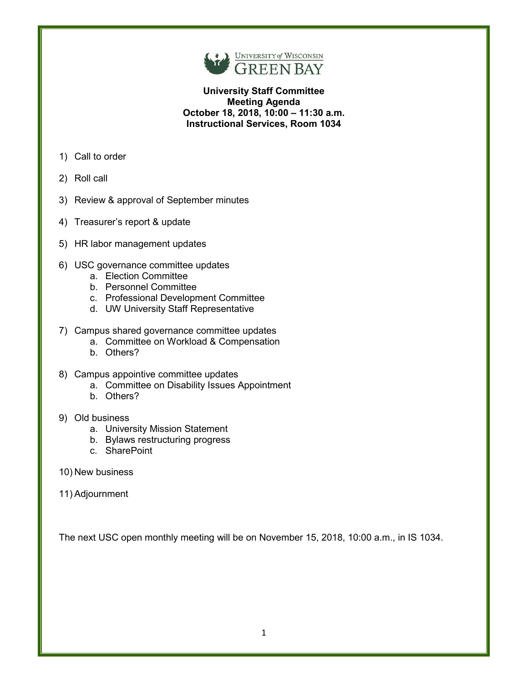

**University Staff Committee Meeting Agenda October 18, 2018, 10:00 – 11:30 a.m. Instructional Services, Room 1034**

- 1) Call to order
- 2) Roll call
- 3) Review & approval of September minutes
- 4) Treasurer's report & update
- 5) HR labor management updates
- 6) USC governance committee updates
	- a. Election Committee
	- b. Personnel Committee
	- c. Professional Development Committee
	- d. UW University Staff Representative
- 7) Campus shared governance committee updates
	- a. Committee on Workload & Compensation
	- b. Others?
- 8) Campus appointive committee updates
	- a. Committee on Disability Issues Appointment
	- b. Others?

### 9) Old business

- a. University Mission Statement
- b. Bylaws restructuring progress
- c. SharePoint
- 10) New business
- 11) Adjournment

The next USC open monthly meeting will be on November 15, 2018, 10:00 a.m., in IS 1034.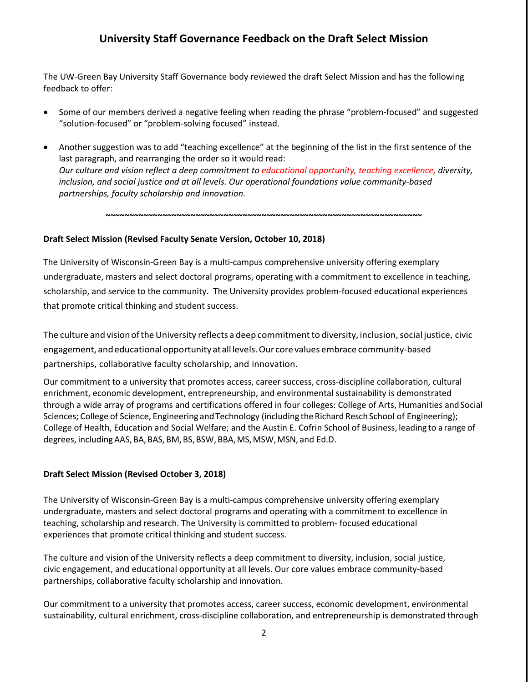# **University Staff Governance Feedback on the Draft Select Mission**

The UW-Green Bay University Staff Governance body reviewed the draft Select Mission and has the following feedback to offer:

- Some of our members derived a negative feeling when reading the phrase "problem-focused" and suggested "solution-focused" or "problem-solving focused" instead.
- Another suggestion was to add "teaching excellence" at the beginning of the list in the first sentence of the last paragraph, and rearranging the order so it would read: *Our culture and vision reflect a deep commitment to educational opportunity, teaching excellence, diversity, inclusion, and social justice and at all levels. Our operational foundations value community-based partnerships, faculty scholarship and innovation.*

**~~~~~~~~~~~~~~~~~~~~~~~~~~~~~~~~~~~~~~~~~~~~~~~~~~~~~~~~~~~~~~~~~~~**

### **Draft Select Mission (Revised Faculty Senate Version, October 10, 2018)**

The University of Wisconsin-Green Bay is a multi-campus comprehensive university offering exemplary undergraduate, masters and select doctoral programs, operating with a commitment to excellence in teaching, scholarship, and service to the community. The University provides problem-focused educational experiences that promote critical thinking and student success.

The culture and vision of the University reflects a deep commitment to diversity, inclusion, social justice, civic engagement, andeducationalopportunity atalllevels.Our corevalues embrace community-based partnerships, collaborative faculty scholarship, and innovation.

Our commitment to a university that promotes access, career success, cross-discipline collaboration, cultural enrichment, economic development, entrepreneurship, and environmental sustainability is demonstrated through a wide array of programs and certifications offered in four colleges: College of Arts, Humanities and Social Sciences; College of Science, Engineering and Technology (including the Richard Resch School of Engineering); College of Health, Education and Social Welfare; and the Austin E. Cofrin School of Business, leading to a range of degrees, including AAS, BA, BAS, BM, BS, BSW, BBA, MS, MSW, MSN, and Ed.D.

### **Draft Select Mission (Revised October 3, 2018)**

The University of Wisconsin-Green Bay is a multi-campus comprehensive university offering exemplary undergraduate, masters and select doctoral programs and operating with a commitment to excellence in teaching, scholarship and research. The University is committed to problem- focused educational experiences that promote critical thinking and student success.

The culture and vision of the University reflects a deep commitment to diversity, inclusion, social justice, civic engagement, and educational opportunity at all levels. Our core values embrace community-based partnerships, collaborative faculty scholarship and innovation.

Our commitment to a university that promotes access, career success, economic development, environmental sustainability, cultural enrichment, cross-discipline collaboration, and entrepreneurship is demonstrated through